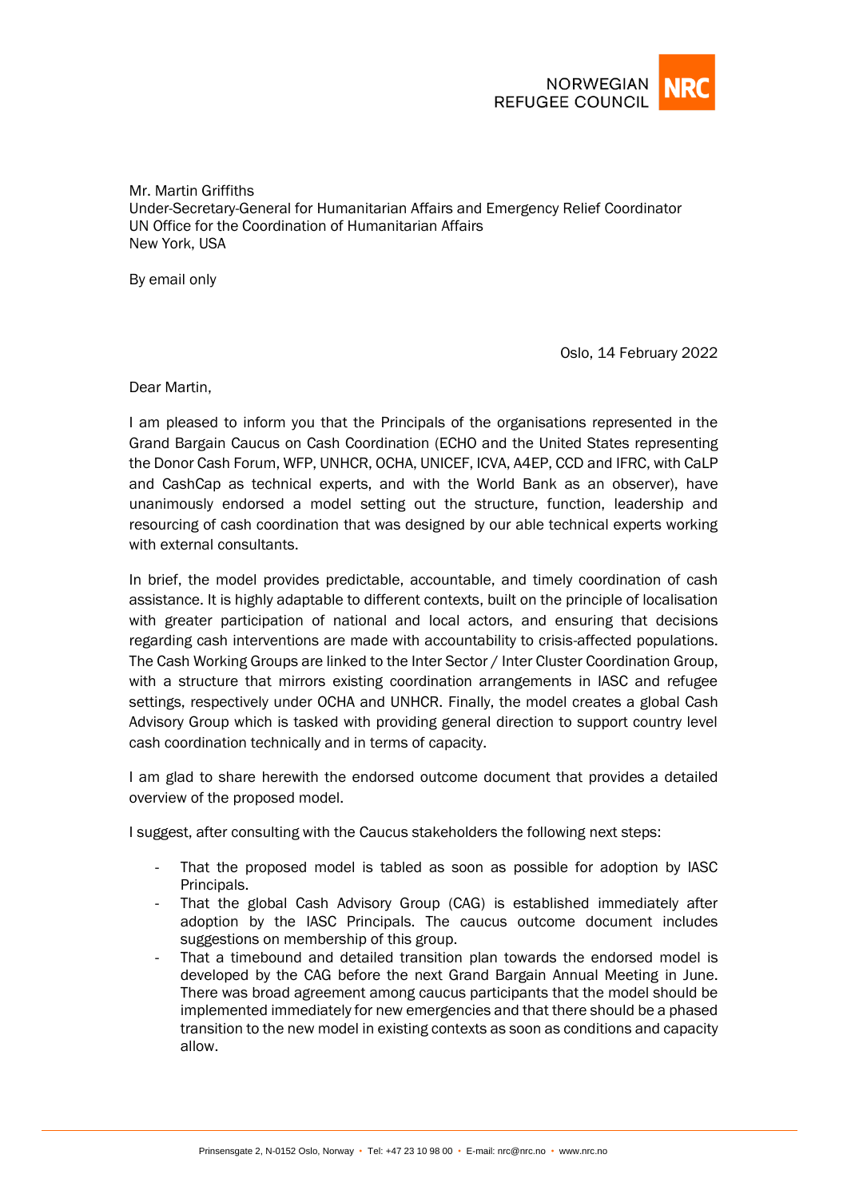

Mr. Martin Griffiths Under-Secretary-General for Humanitarian Affairs and Emergency Relief Coordinator UN Office for the Coordination of Humanitarian Affairs New York, USA

By email only

Oslo, 14 February 2022

Dear Martin,

I am pleased to inform you that the Principals of the organisations represented in the Grand Bargain Caucus on Cash Coordination (ECHO and the United States representing the Donor Cash Forum, WFP, UNHCR, OCHA, UNICEF, ICVA, A4EP, CCD and IFRC, with CaLP and CashCap as technical experts, and with the World Bank as an observer), have unanimously endorsed a model setting out the structure, function, leadership and resourcing of cash coordination that was designed by our able technical experts working with external consultants.

In brief, the model provides predictable, accountable, and timely coordination of cash assistance. It is highly adaptable to different contexts, built on the principle of localisation with greater participation of national and local actors, and ensuring that decisions regarding cash interventions are made with accountability to crisis-affected populations. The Cash Working Groups are linked to the Inter Sector / Inter Cluster Coordination Group, with a structure that mirrors existing coordination arrangements in IASC and refugee settings, respectively under OCHA and UNHCR. Finally, the model creates a global Cash Advisory Group which is tasked with providing general direction to support country level cash coordination technically and in terms of capacity.

I am glad to share herewith the endorsed outcome document that provides a detailed overview of the proposed model.

I suggest, after consulting with the Caucus stakeholders the following next steps:

- That the proposed model is tabled as soon as possible for adoption by IASC Principals.
- That the global Cash Advisory Group (CAG) is established immediately after adoption by the IASC Principals. The caucus outcome document includes suggestions on membership of this group.
- That a timebound and detailed transition plan towards the endorsed model is developed by the CAG before the next Grand Bargain Annual Meeting in June. There was broad agreement among caucus participants that the model should be implemented immediately for new emergencies and that there should be a phased transition to the new model in existing contexts as soon as conditions and capacity allow.